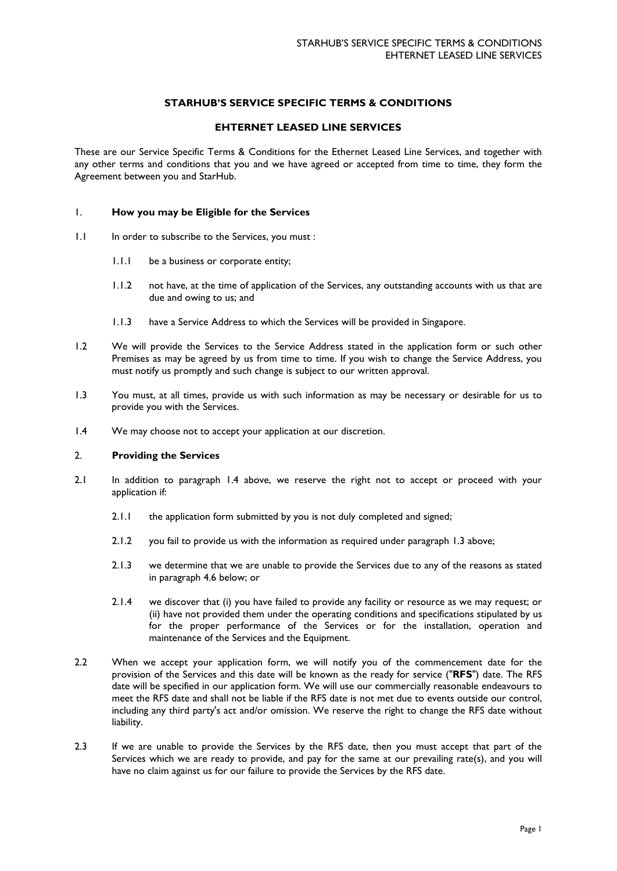# **STARHUB'S SERVICE SPECIFIC TERMS & CONDITIONS**

## **EHTERNET LEASED LINE SERVICES**

These are our Service Specific Terms & Conditions for the Ethernet Leased Line Services, and together with any other terms and conditions that you and we have agreed or accepted from time to time, they form the Agreement between you and StarHub.

## 1. **How you may be Eligible for the Services**

- 1.1 In order to subscribe to the Services, you must :
	- 1.1.1 be a business or corporate entity;
	- 1.1.2 not have, at the time of application of the Services, any outstanding accounts with us that are due and owing to us; and
	- 1.1.3 have a Service Address to which the Services will be provided in Singapore.
- 1.2 We will provide the Services to the Service Address stated in the application form or such other Premises as may be agreed by us from time to time. If you wish to change the Service Address, you must notify us promptly and such change is subject to our written approval.
- 1.3 You must, at all times, provide us with such information as may be necessary or desirable for us to provide you with the Services.
- 1.4 We may choose not to accept your application at our discretion.

## 2. **Providing the Services**

- 2.1 In addition to paragraph 1.4 above, we reserve the right not to accept or proceed with your application if:
	- 2.1.1 the application form submitted by you is not duly completed and signed;
	- 2.1.2 you fail to provide us with the information as required under paragraph 1.3 above;
	- 2.1.3 we determine that we are unable to provide the Services due to any of the reasons as stated in paragraph 4.6 below; or
	- 2.1.4 we discover that (i) you have failed to provide any facility or resource as we may request; or (ii) have not provided them under the operating conditions and specifications stipulated by us for the proper performance of the Services or for the installation, operation and maintenance of the Services and the Equipment.
- 2.2 When we accept your application form, we will notify you of the commencement date for the provision of the Services and this date will be known as the ready for service ("**RFS**") date. The RFS date will be specified in our application form. We will use our commercially reasonable endeavours to meet the RFS date and shall not be liable if the RFS date is not met due to events outside our control, including any third party's act and/or omission. We reserve the right to change the RFS date without liability.
- 2.3 If we are unable to provide the Services by the RFS date, then you must accept that part of the Services which we are ready to provide, and pay for the same at our prevailing rate(s), and you will have no claim against us for our failure to provide the Services by the RFS date.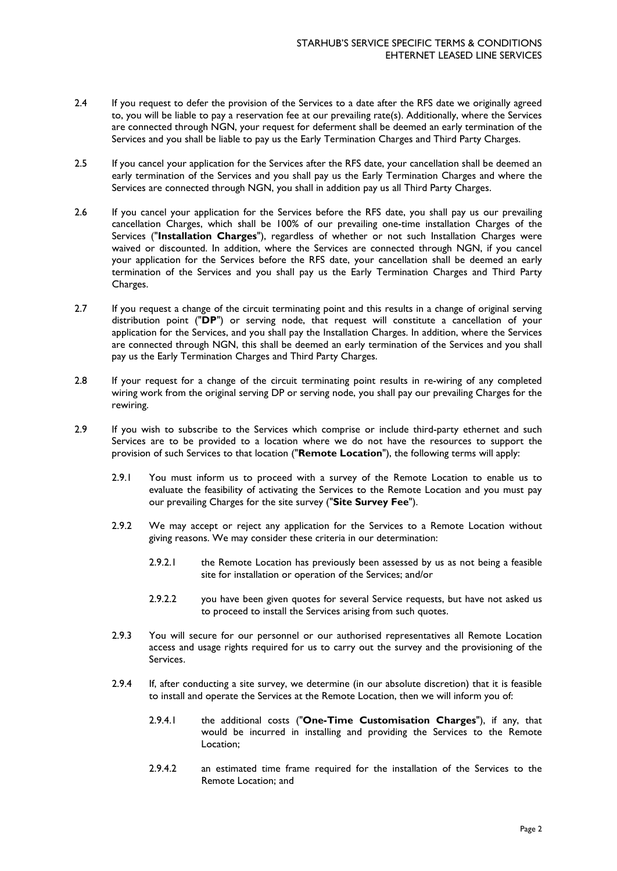- 2.4 If you request to defer the provision of the Services to a date after the RFS date we originally agreed to, you will be liable to pay a reservation fee at our prevailing rate(s). Additionally, where the Services are connected through NGN, your request for deferment shall be deemed an early termination of the Services and you shall be liable to pay us the Early Termination Charges and Third Party Charges.
- 2.5 If you cancel your application for the Services after the RFS date, your cancellation shall be deemed an early termination of the Services and you shall pay us the Early Termination Charges and where the Services are connected through NGN, you shall in addition pay us all Third Party Charges.
- 2.6 If you cancel your application for the Services before the RFS date, you shall pay us our prevailing cancellation Charges, which shall be 100% of our prevailing one-time installation Charges of the Services ("**Installation Charges**"), regardless of whether or not such Installation Charges were waived or discounted. In addition, where the Services are connected through NGN, if you cancel your application for the Services before the RFS date, your cancellation shall be deemed an early termination of the Services and you shall pay us the Early Termination Charges and Third Party Charges.
- 2.7 If you request a change of the circuit terminating point and this results in a change of original serving distribution point ("**DP**") or serving node, that request will constitute a cancellation of your application for the Services, and you shall pay the Installation Charges. In addition, where the Services are connected through NGN, this shall be deemed an early termination of the Services and you shall pay us the Early Termination Charges and Third Party Charges.
- 2.8 If your request for a change of the circuit terminating point results in re-wiring of any completed wiring work from the original serving DP or serving node, you shall pay our prevailing Charges for the rewiring.
- 2.9 If you wish to subscribe to the Services which comprise or include third-party ethernet and such Services are to be provided to a location where we do not have the resources to support the provision of such Services to that location ("**Remote Location**"), the following terms will apply:
	- 2.9.1 You must inform us to proceed with a survey of the Remote Location to enable us to evaluate the feasibility of activating the Services to the Remote Location and you must pay our prevailing Charges for the site survey ("**Site Survey Fee**").
	- 2.9.2 We may accept or reject any application for the Services to a Remote Location without giving reasons. We may consider these criteria in our determination:
		- 2.9.2.1 the Remote Location has previously been assessed by us as not being a feasible site for installation or operation of the Services; and/or
		- 2.9.2.2 you have been given quotes for several Service requests, but have not asked us to proceed to install the Services arising from such quotes.
	- 2.9.3 You will secure for our personnel or our authorised representatives all Remote Location access and usage rights required for us to carry out the survey and the provisioning of the Services.
	- 2.9.4 If, after conducting a site survey, we determine (in our absolute discretion) that it is feasible to install and operate the Services at the Remote Location, then we will inform you of:
		- 2.9.4.1 the additional costs ("**One-Time Customisation Charges**"), if any, that would be incurred in installing and providing the Services to the Remote Location;
		- 2.9.4.2 an estimated time frame required for the installation of the Services to the Remote Location; and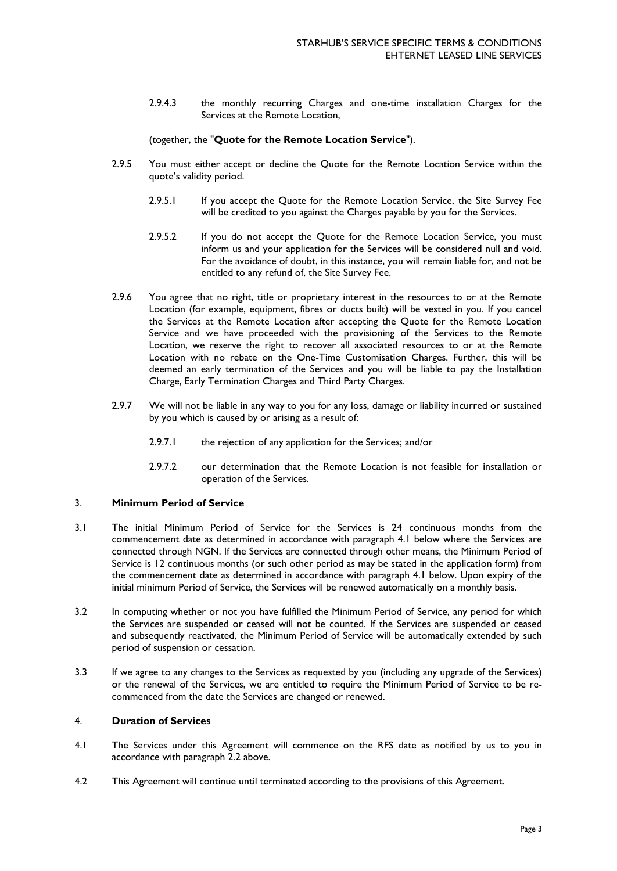2.9.4.3 the monthly recurring Charges and one-time installation Charges for the Services at the Remote Location,

## (together, the "**Quote for the Remote Location Service**").

- 2.9.5 You must either accept or decline the Quote for the Remote Location Service within the quote's validity period.
	- 2.9.5.1 If you accept the Quote for the Remote Location Service, the Site Survey Fee will be credited to you against the Charges payable by you for the Services.
	- 2.9.5.2 If you do not accept the Quote for the Remote Location Service, you must inform us and your application for the Services will be considered null and void. For the avoidance of doubt, in this instance, you will remain liable for, and not be entitled to any refund of, the Site Survey Fee.
- 2.9.6 You agree that no right, title or proprietary interest in the resources to or at the Remote Location (for example, equipment, fibres or ducts built) will be vested in you. If you cancel the Services at the Remote Location after accepting the Quote for the Remote Location Service and we have proceeded with the provisioning of the Services to the Remote Location, we reserve the right to recover all associated resources to or at the Remote Location with no rebate on the One-Time Customisation Charges. Further, this will be deemed an early termination of the Services and you will be liable to pay the Installation Charge, Early Termination Charges and Third Party Charges.
- 2.9.7 We will not be liable in any way to you for any loss, damage or liability incurred or sustained by you which is caused by or arising as a result of:
	- 2.9.7.1 the rejection of any application for the Services; and/or
	- 2.9.7.2 our determination that the Remote Location is not feasible for installation or operation of the Services.

#### 3. **Minimum Period of Service**

- 3.1 The initial Minimum Period of Service for the Services is 24 continuous months from the commencement date as determined in accordance with paragraph 4.1 below where the Services are connected through NGN. If the Services are connected through other means, the Minimum Period of Service is 12 continuous months (or such other period as may be stated in the application form) from the commencement date as determined in accordance with paragraph 4.1 below. Upon expiry of the initial minimum Period of Service, the Services will be renewed automatically on a monthly basis.
- 3.2 In computing whether or not you have fulfilled the Minimum Period of Service, any period for which the Services are suspended or ceased will not be counted. If the Services are suspended or ceased and subsequently reactivated, the Minimum Period of Service will be automatically extended by such period of suspension or cessation.
- 3.3 If we agree to any changes to the Services as requested by you (including any upgrade of the Services) or the renewal of the Services, we are entitled to require the Minimum Period of Service to be recommenced from the date the Services are changed or renewed.

# 4. **Duration of Services**

- 4.1 The Services under this Agreement will commence on the RFS date as notified by us to you in accordance with paragraph 2.2 above.
- 4.2 This Agreement will continue until terminated according to the provisions of this Agreement.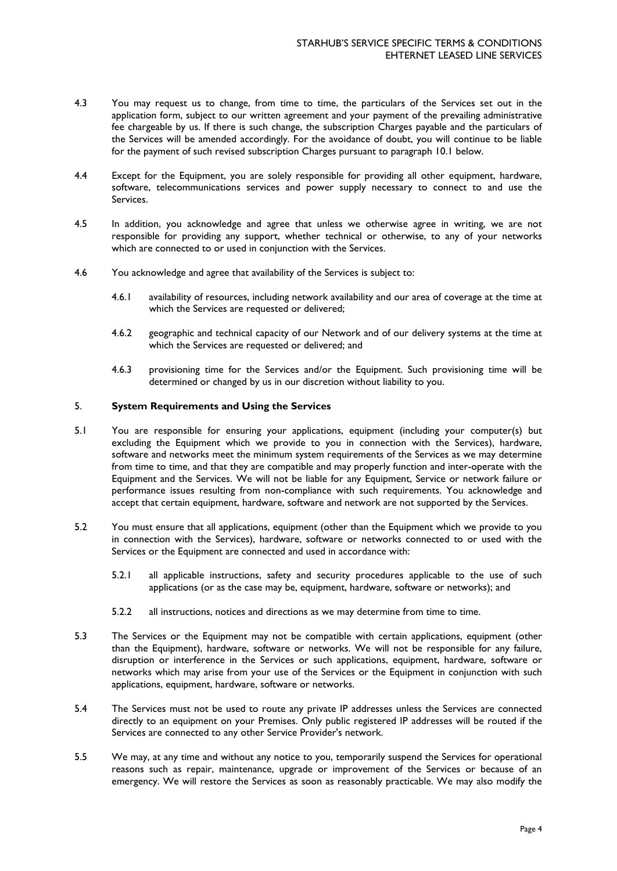- 4.3 You may request us to change, from time to time, the particulars of the Services set out in the application form, subject to our written agreement and your payment of the prevailing administrative fee chargeable by us. If there is such change, the subscription Charges payable and the particulars of the Services will be amended accordingly. For the avoidance of doubt, you will continue to be liable for the payment of such revised subscription Charges pursuant to paragraph 10.1 below.
- 4.4 Except for the Equipment, you are solely responsible for providing all other equipment, hardware, software, telecommunications services and power supply necessary to connect to and use the Services.
- 4.5 In addition, you acknowledge and agree that unless we otherwise agree in writing, we are not responsible for providing any support, whether technical or otherwise, to any of your networks which are connected to or used in conjunction with the Services.
- 4.6 You acknowledge and agree that availability of the Services is subject to:
	- 4.6.1 availability of resources, including network availability and our area of coverage at the time at which the Services are requested or delivered;
	- 4.6.2 geographic and technical capacity of our Network and of our delivery systems at the time at which the Services are requested or delivered; and
	- 4.6.3 provisioning time for the Services and/or the Equipment. Such provisioning time will be determined or changed by us in our discretion without liability to you.

# 5. **System Requirements and Using the Services**

- 5.1 You are responsible for ensuring your applications, equipment (including your computer(s) but excluding the Equipment which we provide to you in connection with the Services), hardware, software and networks meet the minimum system requirements of the Services as we may determine from time to time, and that they are compatible and may properly function and inter-operate with the Equipment and the Services. We will not be liable for any Equipment, Service or network failure or performance issues resulting from non-compliance with such requirements. You acknowledge and accept that certain equipment, hardware, software and network are not supported by the Services.
- 5.2 You must ensure that all applications, equipment (other than the Equipment which we provide to you in connection with the Services), hardware, software or networks connected to or used with the Services or the Equipment are connected and used in accordance with:
	- 5.2.1 all applicable instructions, safety and security procedures applicable to the use of such applications (or as the case may be, equipment, hardware, software or networks); and
	- 5.2.2 all instructions, notices and directions as we may determine from time to time.
- 5.3 The Services or the Equipment may not be compatible with certain applications, equipment (other than the Equipment), hardware, software or networks. We will not be responsible for any failure, disruption or interference in the Services or such applications, equipment, hardware, software or networks which may arise from your use of the Services or the Equipment in conjunction with such applications, equipment, hardware, software or networks.
- 5.4 The Services must not be used to route any private IP addresses unless the Services are connected directly to an equipment on your Premises. Only public registered IP addresses will be routed if the Services are connected to any other Service Provider's network.
- 5.5 We may, at any time and without any notice to you, temporarily suspend the Services for operational reasons such as repair, maintenance, upgrade or improvement of the Services or because of an emergency. We will restore the Services as soon as reasonably practicable. We may also modify the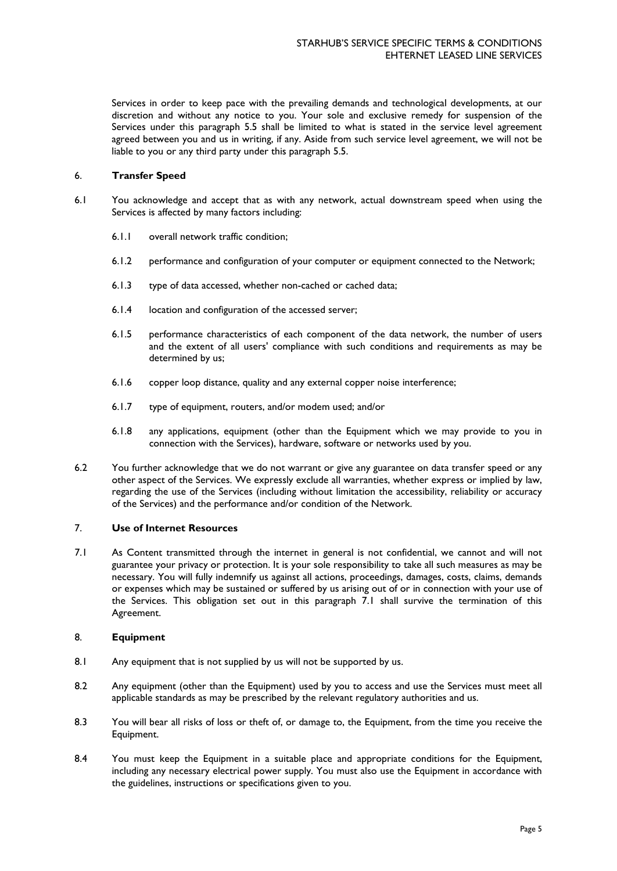Services in order to keep pace with the prevailing demands and technological developments, at our discretion and without any notice to you. Your sole and exclusive remedy for suspension of the Services under this paragraph 5.5 shall be limited to what is stated in the service level agreement agreed between you and us in writing, if any. Aside from such service level agreement, we will not be liable to you or any third party under this paragraph 5.5.

# 6. **Transfer Speed**

- 6.1 You acknowledge and accept that as with any network, actual downstream speed when using the Services is affected by many factors including:
	- 6.1.1 overall network traffic condition;
	- 6.1.2 performance and configuration of your computer or equipment connected to the Network;
	- 6.1.3 type of data accessed, whether non-cached or cached data;
	- 6.1.4 location and configuration of the accessed server;
	- 6.1.5 performance characteristics of each component of the data network, the number of users and the extent of all users' compliance with such conditions and requirements as may be determined by us;
	- 6.1.6 copper loop distance, quality and any external copper noise interference;
	- 6.1.7 type of equipment, routers, and/or modem used; and/or
	- 6.1.8 any applications, equipment (other than the Equipment which we may provide to you in connection with the Services), hardware, software or networks used by you.
- 6.2 You further acknowledge that we do not warrant or give any guarantee on data transfer speed or any other aspect of the Services. We expressly exclude all warranties, whether express or implied by law, regarding the use of the Services (including without limitation the accessibility, reliability or accuracy of the Services) and the performance and/or condition of the Network.

## 7. **Use of Internet Resources**

7.1 As Content transmitted through the internet in general is not confidential, we cannot and will not guarantee your privacy or protection. It is your sole responsibility to take all such measures as may be necessary. You will fully indemnify us against all actions, proceedings, damages, costs, claims, demands or expenses which may be sustained or suffered by us arising out of or in connection with your use of the Services. This obligation set out in this paragraph 7.1 shall survive the termination of this Agreement.

# 8. **Equipment**

- 8.1 Any equipment that is not supplied by us will not be supported by us.
- 8.2 Any equipment (other than the Equipment) used by you to access and use the Services must meet all applicable standards as may be prescribed by the relevant regulatory authorities and us.
- 8.3 You will bear all risks of loss or theft of, or damage to, the Equipment, from the time you receive the Equipment.
- 8.4 You must keep the Equipment in a suitable place and appropriate conditions for the Equipment, including any necessary electrical power supply. You must also use the Equipment in accordance with the guidelines, instructions or specifications given to you.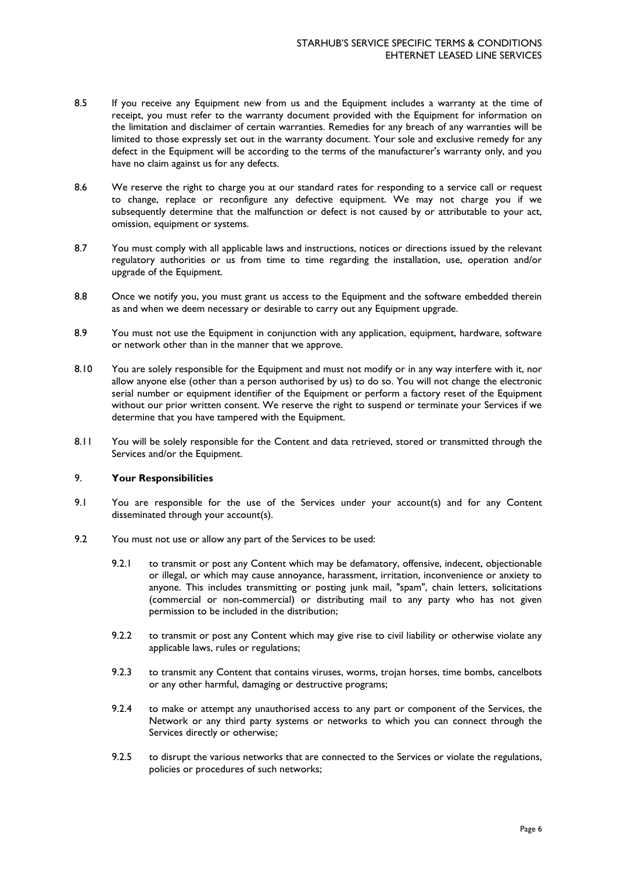- 8.5 If you receive any Equipment new from us and the Equipment includes a warranty at the time of receipt, you must refer to the warranty document provided with the Equipment for information on the limitation and disclaimer of certain warranties. Remedies for any breach of any warranties will be limited to those expressly set out in the warranty document. Your sole and exclusive remedy for any defect in the Equipment will be according to the terms of the manufacturer's warranty only, and you have no claim against us for any defects.
- 8.6 We reserve the right to charge you at our standard rates for responding to a service call or request to change, replace or reconfigure any defective equipment. We may not charge you if we subsequently determine that the malfunction or defect is not caused by or attributable to your act, omission, equipment or systems.
- 8.7 You must comply with all applicable laws and instructions, notices or directions issued by the relevant regulatory authorities or us from time to time regarding the installation, use, operation and/or upgrade of the Equipment.
- 8.8 Once we notify you, you must grant us access to the Equipment and the software embedded therein as and when we deem necessary or desirable to carry out any Equipment upgrade.
- 8.9 You must not use the Equipment in conjunction with any application, equipment, hardware, software or network other than in the manner that we approve.
- 8.10 You are solely responsible for the Equipment and must not modify or in any way interfere with it, nor allow anyone else (other than a person authorised by us) to do so. You will not change the electronic serial number or equipment identifier of the Equipment or perform a factory reset of the Equipment without our prior written consent. We reserve the right to suspend or terminate your Services if we determine that you have tampered with the Equipment.
- 8.11 You will be solely responsible for the Content and data retrieved, stored or transmitted through the Services and/or the Equipment.

## 9. **Your Responsibilities**

- 9.1 You are responsible for the use of the Services under your account(s) and for any Content disseminated through your account(s).
- 9.2 You must not use or allow any part of the Services to be used:
	- 9.2.1 to transmit or post any Content which may be defamatory, offensive, indecent, objectionable or illegal, or which may cause annoyance, harassment, irritation, inconvenience or anxiety to anyone. This includes transmitting or posting junk mail, "spam", chain letters, solicitations (commercial or non-commercial) or distributing mail to any party who has not given permission to be included in the distribution;
	- 9.2.2 to transmit or post any Content which may give rise to civil liability or otherwise violate any applicable laws, rules or regulations;
	- 9.2.3 to transmit any Content that contains viruses, worms, trojan horses, time bombs, cancelbots or any other harmful, damaging or destructive programs;
	- 9.2.4 to make or attempt any unauthorised access to any part or component of the Services, the Network or any third party systems or networks to which you can connect through the Services directly or otherwise;
	- 9.2.5 to disrupt the various networks that are connected to the Services or violate the regulations, policies or procedures of such networks;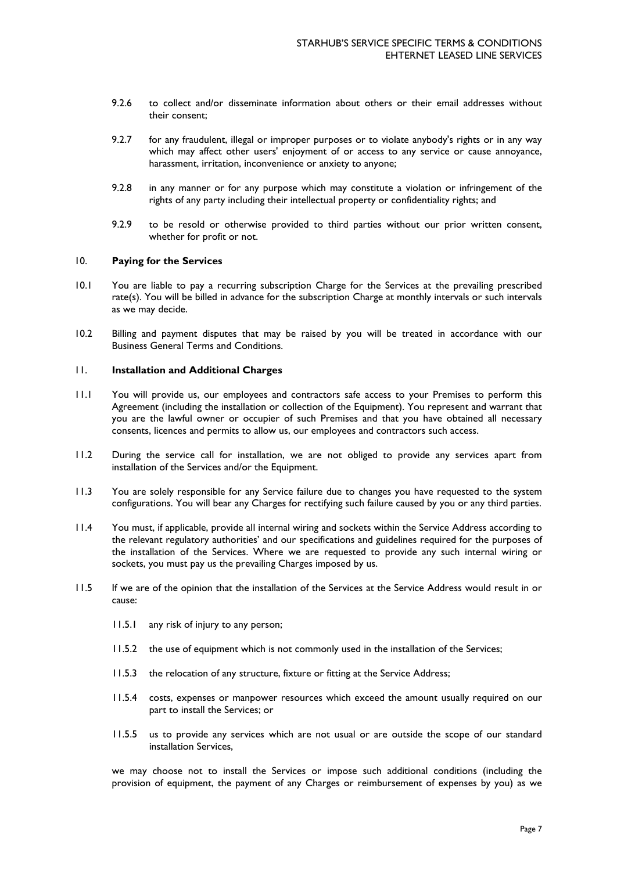- 9.2.6 to collect and/or disseminate information about others or their email addresses without their consent;
- 9.2.7 for any fraudulent, illegal or improper purposes or to violate anybody's rights or in any way which may affect other users' enjoyment of or access to any service or cause annoyance, harassment, irritation, inconvenience or anxiety to anyone;
- 9.2.8 in any manner or for any purpose which may constitute a violation or infringement of the rights of any party including their intellectual property or confidentiality rights; and
- 9.2.9 to be resold or otherwise provided to third parties without our prior written consent, whether for profit or not.

#### 10. **Paying for the Services**

- 10.1 You are liable to pay a recurring subscription Charge for the Services at the prevailing prescribed rate(s). You will be billed in advance for the subscription Charge at monthly intervals or such intervals as we may decide.
- 10.2 Billing and payment disputes that may be raised by you will be treated in accordance with our Business General Terms and Conditions.

# 11. **Installation and Additional Charges**

- 11.1 You will provide us, our employees and contractors safe access to your Premises to perform this Agreement (including the installation or collection of the Equipment). You represent and warrant that you are the lawful owner or occupier of such Premises and that you have obtained all necessary consents, licences and permits to allow us, our employees and contractors such access.
- 11.2 During the service call for installation, we are not obliged to provide any services apart from installation of the Services and/or the Equipment.
- 11.3 You are solely responsible for any Service failure due to changes you have requested to the system configurations. You will bear any Charges for rectifying such failure caused by you or any third parties.
- 11.4 You must, if applicable, provide all internal wiring and sockets within the Service Address according to the relevant regulatory authorities' and our specifications and guidelines required for the purposes of the installation of the Services. Where we are requested to provide any such internal wiring or sockets, you must pay us the prevailing Charges imposed by us.
- 11.5 If we are of the opinion that the installation of the Services at the Service Address would result in or cause:
	- 11.5.1 any risk of injury to any person;
	- 11.5.2 the use of equipment which is not commonly used in the installation of the Services;
	- 11.5.3 the relocation of any structure, fixture or fitting at the Service Address;
	- 11.5.4 costs, expenses or manpower resources which exceed the amount usually required on our part to install the Services; or
	- 11.5.5 us to provide any services which are not usual or are outside the scope of our standard installation Services,

we may choose not to install the Services or impose such additional conditions (including the provision of equipment, the payment of any Charges or reimbursement of expenses by you) as we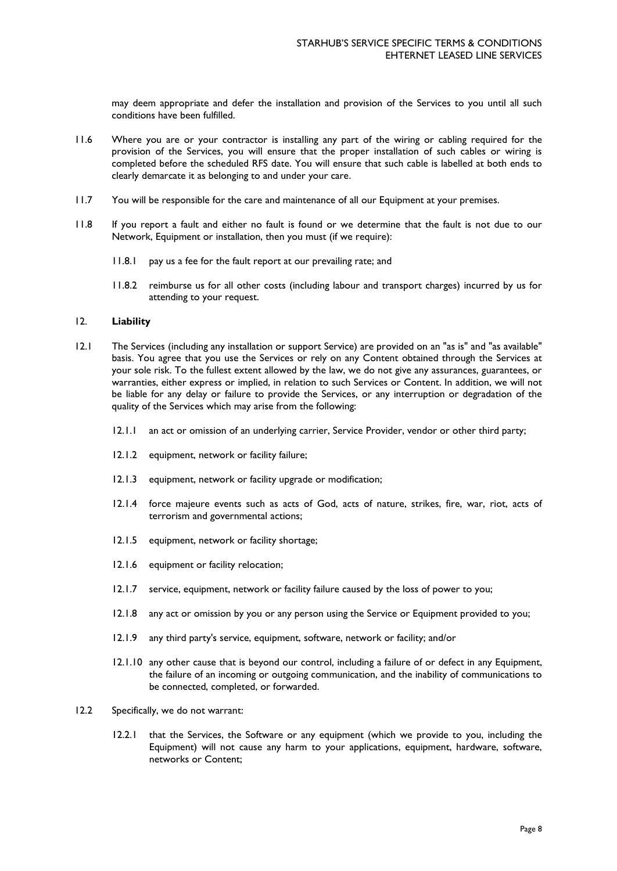may deem appropriate and defer the installation and provision of the Services to you until all such conditions have been fulfilled.

- 11.6 Where you are or your contractor is installing any part of the wiring or cabling required for the provision of the Services, you will ensure that the proper installation of such cables or wiring is completed before the scheduled RFS date. You will ensure that such cable is labelled at both ends to clearly demarcate it as belonging to and under your care.
- 11.7 You will be responsible for the care and maintenance of all our Equipment at your premises.
- 11.8 If you report a fault and either no fault is found or we determine that the fault is not due to our Network, Equipment or installation, then you must (if we require):
	- 11.8.1 pay us a fee for the fault report at our prevailing rate; and
	- 11.8.2 reimburse us for all other costs (including labour and transport charges) incurred by us for attending to your request.

## 12. **Liability**

- 12.1 The Services (including any installation or support Service) are provided on an "as is" and "as available" basis. You agree that you use the Services or rely on any Content obtained through the Services at your sole risk. To the fullest extent allowed by the law, we do not give any assurances, guarantees, or warranties, either express or implied, in relation to such Services or Content. In addition, we will not be liable for any delay or failure to provide the Services, or any interruption or degradation of the quality of the Services which may arise from the following:
	- 12.1.1 an act or omission of an underlying carrier, Service Provider, vendor or other third party;
	- 12.1.2 equipment, network or facility failure;
	- 12.1.3 equipment, network or facility upgrade or modification;
	- 12.1.4 force majeure events such as acts of God, acts of nature, strikes, fire, war, riot, acts of terrorism and governmental actions;
	- 12.1.5 equipment, network or facility shortage;
	- 12.1.6 equipment or facility relocation;
	- 12.1.7 service, equipment, network or facility failure caused by the loss of power to you;
	- 12.1.8 any act or omission by you or any person using the Service or Equipment provided to you;
	- 12.1.9 any third party's service, equipment, software, network or facility; and/or
	- 12.1.10 any other cause that is beyond our control, including a failure of or defect in any Equipment, the failure of an incoming or outgoing communication, and the inability of communications to be connected, completed, or forwarded.
- 12.2 Specifically, we do not warrant:
	- 12.2.1 that the Services, the Software or any equipment (which we provide to you, including the Equipment) will not cause any harm to your applications, equipment, hardware, software, networks or Content;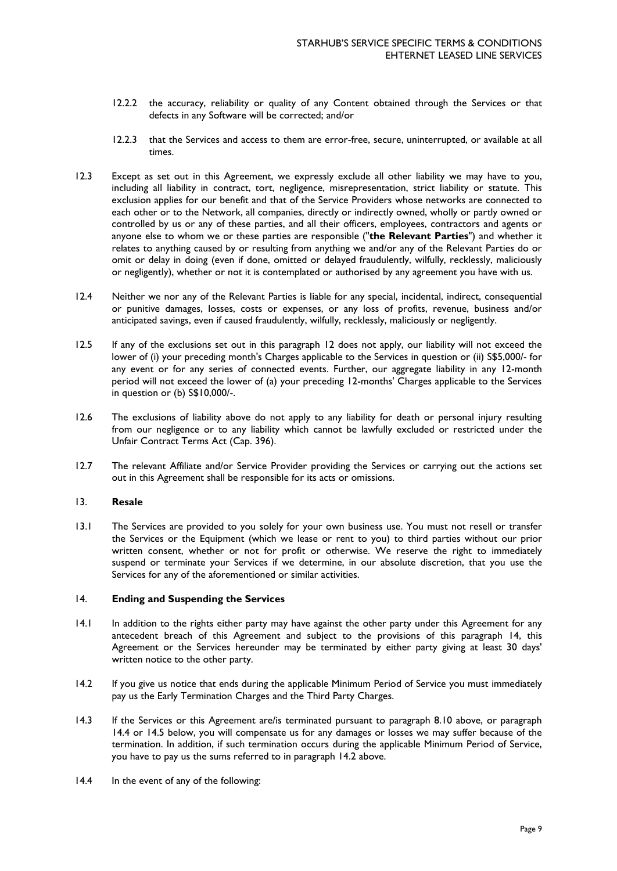- 12.2.2 the accuracy, reliability or quality of any Content obtained through the Services or that defects in any Software will be corrected; and/or
- 12.2.3 that the Services and access to them are error-free, secure, uninterrupted, or available at all times.
- 12.3 Except as set out in this Agreement, we expressly exclude all other liability we may have to you, including all liability in contract, tort, negligence, misrepresentation, strict liability or statute. This exclusion applies for our benefit and that of the Service Providers whose networks are connected to each other or to the Network, all companies, directly or indirectly owned, wholly or partly owned or controlled by us or any of these parties, and all their officers, employees, contractors and agents or anyone else to whom we or these parties are responsible ("**the Relevant Parties**") and whether it relates to anything caused by or resulting from anything we and/or any of the Relevant Parties do or omit or delay in doing (even if done, omitted or delayed fraudulently, wilfully, recklessly, maliciously or negligently), whether or not it is contemplated or authorised by any agreement you have with us.
- 12.4 Neither we nor any of the Relevant Parties is liable for any special, incidental, indirect, consequential or punitive damages, losses, costs or expenses, or any loss of profits, revenue, business and/or anticipated savings, even if caused fraudulently, wilfully, recklessly, maliciously or negligently.
- 12.5 If any of the exclusions set out in this paragraph 12 does not apply, our liability will not exceed the lower of (i) your preceding month's Charges applicable to the Services in question or (ii) S\$5,000/- for any event or for any series of connected events. Further, our aggregate liability in any 12-month period will not exceed the lower of (a) your preceding 12-months' Charges applicable to the Services in question or (b) S\$10,000/-.
- 12.6 The exclusions of liability above do not apply to any liability for death or personal injury resulting from our negligence or to any liability which cannot be lawfully excluded or restricted under the Unfair Contract Terms Act (Cap. 396).
- 12.7 The relevant Affiliate and/or Service Provider providing the Services or carrying out the actions set out in this Agreement shall be responsible for its acts or omissions.

## 13. **Resale**

13.1 The Services are provided to you solely for your own business use. You must not resell or transfer the Services or the Equipment (which we lease or rent to you) to third parties without our prior written consent, whether or not for profit or otherwise. We reserve the right to immediately suspend or terminate your Services if we determine, in our absolute discretion, that you use the Services for any of the aforementioned or similar activities.

#### 14. **Ending and Suspending the Services**

- 14.1 In addition to the rights either party may have against the other party under this Agreement for any antecedent breach of this Agreement and subject to the provisions of this paragraph 14, this Agreement or the Services hereunder may be terminated by either party giving at least 30 days' written notice to the other party.
- 14.2 If you give us notice that ends during the applicable Minimum Period of Service you must immediately pay us the Early Termination Charges and the Third Party Charges.
- 14.3 If the Services or this Agreement are/is terminated pursuant to paragraph 8.10 above, or paragraph 14.4 or 14.5 below, you will compensate us for any damages or losses we may suffer because of the termination. In addition, if such termination occurs during the applicable Minimum Period of Service, you have to pay us the sums referred to in paragraph 14.2 above.
- 14.4 In the event of any of the following: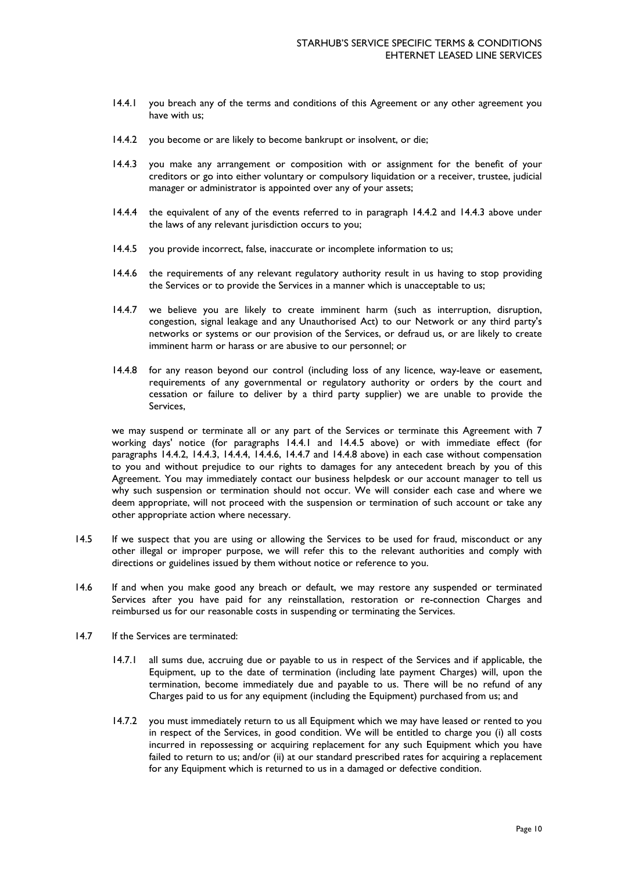- 14.4.1 you breach any of the terms and conditions of this Agreement or any other agreement you have with us;
- 14.4.2 you become or are likely to become bankrupt or insolvent, or die;
- 14.4.3 you make any arrangement or composition with or assignment for the benefit of your creditors or go into either voluntary or compulsory liquidation or a receiver, trustee, judicial manager or administrator is appointed over any of your assets;
- 14.4.4 the equivalent of any of the events referred to in paragraph 14.4.2 and 14.4.3 above under the laws of any relevant jurisdiction occurs to you;
- 14.4.5 you provide incorrect, false, inaccurate or incomplete information to us;
- 14.4.6 the requirements of any relevant regulatory authority result in us having to stop providing the Services or to provide the Services in a manner which is unacceptable to us;
- 14.4.7 we believe you are likely to create imminent harm (such as interruption, disruption, congestion, signal leakage and any Unauthorised Act) to our Network or any third party's networks or systems or our provision of the Services, or defraud us, or are likely to create imminent harm or harass or are abusive to our personnel; or
- 14.4.8 for any reason beyond our control (including loss of any licence, way-leave or easement, requirements of any governmental or regulatory authority or orders by the court and cessation or failure to deliver by a third party supplier) we are unable to provide the Services,

we may suspend or terminate all or any part of the Services or terminate this Agreement with 7 working days' notice (for paragraphs 14.4.1 and 14.4.5 above) or with immediate effect (for paragraphs 14.4.2, 14.4.3, 14.4.4, 14.4.6, 14.4.7 and 14.4.8 above) in each case without compensation to you and without prejudice to our rights to damages for any antecedent breach by you of this Agreement. You may immediately contact our business helpdesk or our account manager to tell us why such suspension or termination should not occur. We will consider each case and where we deem appropriate, will not proceed with the suspension or termination of such account or take any other appropriate action where necessary.

- 14.5 If we suspect that you are using or allowing the Services to be used for fraud, misconduct or any other illegal or improper purpose, we will refer this to the relevant authorities and comply with directions or guidelines issued by them without notice or reference to you.
- 14.6 If and when you make good any breach or default, we may restore any suspended or terminated Services after you have paid for any reinstallation, restoration or re-connection Charges and reimbursed us for our reasonable costs in suspending or terminating the Services.
- 14.7 If the Services are terminated:
	- 14.7.1 all sums due, accruing due or payable to us in respect of the Services and if applicable, the Equipment, up to the date of termination (including late payment Charges) will, upon the termination, become immediately due and payable to us. There will be no refund of any Charges paid to us for any equipment (including the Equipment) purchased from us; and
	- 14.7.2 you must immediately return to us all Equipment which we may have leased or rented to you in respect of the Services, in good condition. We will be entitled to charge you (i) all costs incurred in repossessing or acquiring replacement for any such Equipment which you have failed to return to us; and/or (ii) at our standard prescribed rates for acquiring a replacement for any Equipment which is returned to us in a damaged or defective condition.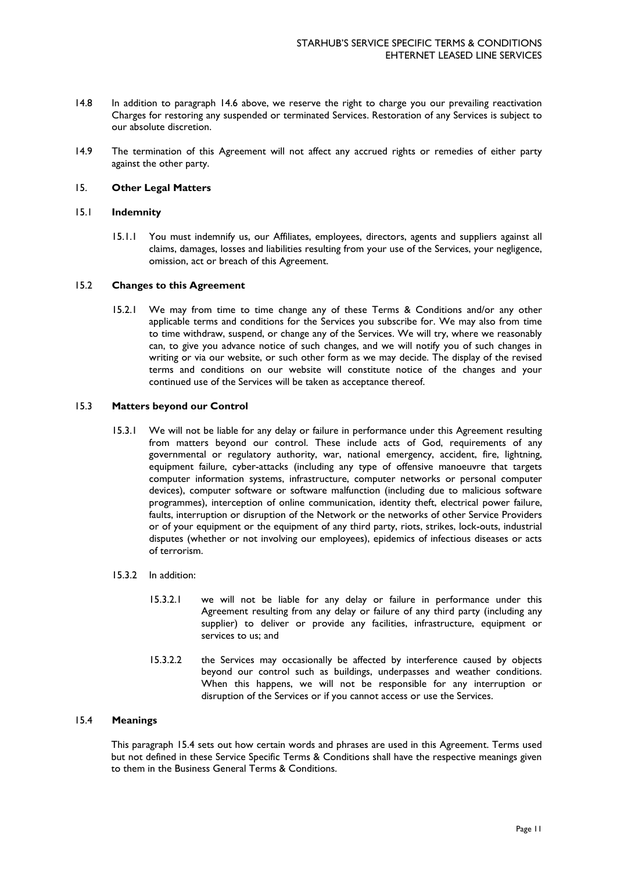- 14.8 In addition to paragraph 14.6 above, we reserve the right to charge you our prevailing reactivation Charges for restoring any suspended or terminated Services. Restoration of any Services is subject to our absolute discretion.
- 14.9 The termination of this Agreement will not affect any accrued rights or remedies of either party against the other party.

## 15. **Other Legal Matters**

### 15.1 **Indemnity**

15.1.1 You must indemnify us, our Affiliates, employees, directors, agents and suppliers against all claims, damages, losses and liabilities resulting from your use of the Services, your negligence, omission, act or breach of this Agreement.

### 15.2 **Changes to this Agreement**

15.2.1 We may from time to time change any of these Terms & Conditions and/or any other applicable terms and conditions for the Services you subscribe for. We may also from time to time withdraw, suspend, or change any of the Services. We will try, where we reasonably can, to give you advance notice of such changes, and we will notify you of such changes in writing or via our website, or such other form as we may decide. The display of the revised terms and conditions on our website will constitute notice of the changes and your continued use of the Services will be taken as acceptance thereof.

### 15.3 **Matters beyond our Control**

15.3.1 We will not be liable for any delay or failure in performance under this Agreement resulting from matters beyond our control. These include acts of God, requirements of any governmental or regulatory authority, war, national emergency, accident, fire, lightning, equipment failure, cyber-attacks (including any type of offensive manoeuvre that targets computer information systems, infrastructure, computer networks or personal computer devices), computer software or software malfunction (including due to malicious software programmes), interception of online communication, identity theft, electrical power failure, faults, interruption or disruption of the Network or the networks of other Service Providers or of your equipment or the equipment of any third party, riots, strikes, lock-outs, industrial disputes (whether or not involving our employees), epidemics of infectious diseases or acts of terrorism.

### 15.3.2 In addition:

- 15.3.2.1 we will not be liable for any delay or failure in performance under this Agreement resulting from any delay or failure of any third party (including any supplier) to deliver or provide any facilities, infrastructure, equipment or services to us; and
- 15.3.2.2 the Services may occasionally be affected by interference caused by objects beyond our control such as buildings, underpasses and weather conditions. When this happens, we will not be responsible for any interruption or disruption of the Services or if you cannot access or use the Services.

## 15.4 **Meanings**

This paragraph 15.4 sets out how certain words and phrases are used in this Agreement. Terms used but not defined in these Service Specific Terms & Conditions shall have the respective meanings given to them in the Business General Terms & Conditions.